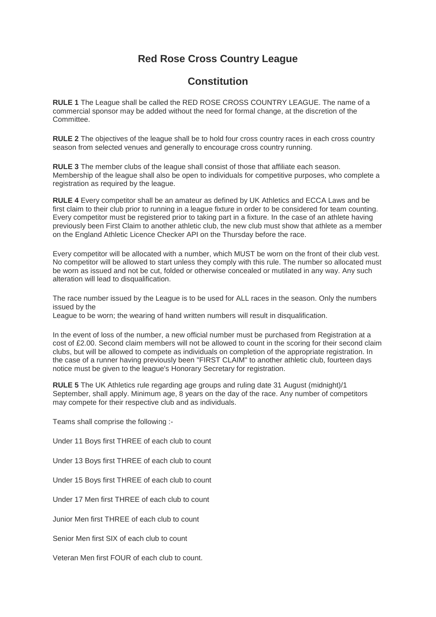## **Red Rose Cross Country League**

## **Constitution**

**RULE 1** The League shall be called the RED ROSE CROSS COUNTRY LEAGUE. The name of a commercial sponsor may be added without the need for formal change, at the discretion of the Committee.

**RULE 2** The objectives of the league shall be to hold four cross country races in each cross country season from selected venues and generally to encourage cross country running.

**RULE 3** The member clubs of the league shall consist of those that affiliate each season. Membership of the league shall also be open to individuals for competitive purposes, who complete a registration as required by the league.

**RULE 4** Every competitor shall be an amateur as defined by UK Athletics and ECCA Laws and be first claim to their club prior to running in a league fixture in order to be considered for team counting. Every competitor must be registered prior to taking part in a fixture. In the case of an athlete having previously been First Claim to another athletic club, the new club must show that athlete as a member on the England Athletic Licence Checker API on the Thursday before the race.

Every competitor will be allocated with a number, which MUST be worn on the front of their club vest. No competitor will be allowed to start unless they comply with this rule. The number so allocated must be worn as issued and not be cut, folded or otherwise concealed or mutilated in any way. Any such alteration will lead to disqualification.

The race number issued by the League is to be used for ALL races in the season. Only the numbers issued by the

League to be worn; the wearing of hand written numbers will result in disqualification.

In the event of loss of the number, a new official number must be purchased from Registration at a cost of £2.00. Second claim members will not be allowed to count in the scoring for their second claim clubs, but will be allowed to compete as individuals on completion of the appropriate registration. In the case of a runner having previously been "FIRST CLAIM" to another athletic club, fourteen days notice must be given to the league's Honorary Secretary for registration.

**RULE 5** The UK Athletics rule regarding age groups and ruling date 31 August (midnight)/1 September, shall apply. Minimum age, 8 years on the day of the race. Any number of competitors may compete for their respective club and as individuals.

Teams shall comprise the following :-

Under 11 Boys first THREE of each club to count

Under 13 Boys first THREE of each club to count

Under 15 Boys first THREE of each club to count

Under 17 Men first THREE of each club to count

Junior Men first THREE of each club to count

Senior Men first SIX of each club to count

Veteran Men first FOUR of each club to count.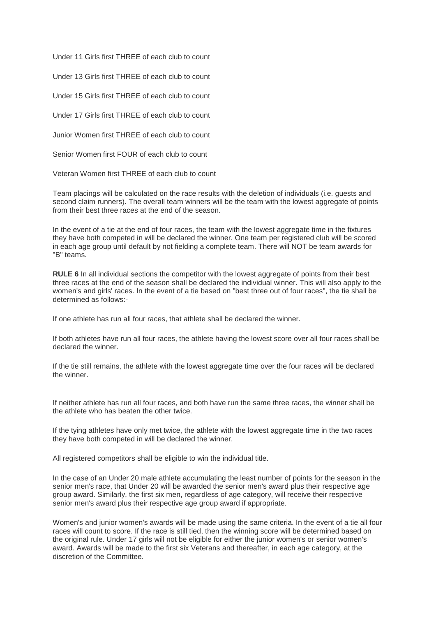Under 11 Girls first THREE of each club to count

Under 13 Girls first THREE of each club to count

Under 15 Girls first THREE of each club to count

Under 17 Girls first THREE of each club to count

Junior Women first THREE of each club to count

Senior Women first FOUR of each club to count

Veteran Women first THREE of each club to count

Team placings will be calculated on the race results with the deletion of individuals (i.e. guests and second claim runners). The overall team winners will be the team with the lowest aggregate of points from their best three races at the end of the season.

In the event of a tie at the end of four races, the team with the lowest aggregate time in the fixtures they have both competed in will be declared the winner. One team per registered club will be scored in each age group until default by not fielding a complete team. There will NOT be team awards for "B" teams.

**RULE 6** In all individual sections the competitor with the lowest aggregate of points from their best three races at the end of the season shall be declared the individual winner. This will also apply to the women's and girls' races. In the event of a tie based on "best three out of four races", the tie shall be determined as follows:-

If one athlete has run all four races, that athlete shall be declared the winner.

If both athletes have run all four races, the athlete having the lowest score over all four races shall be declared the winner.

If the tie still remains, the athlete with the lowest aggregate time over the four races will be declared the winner.

If neither athlete has run all four races, and both have run the same three races, the winner shall be the athlete who has beaten the other twice.

If the tying athletes have only met twice, the athlete with the lowest aggregate time in the two races they have both competed in will be declared the winner.

All registered competitors shall be eligible to win the individual title.

In the case of an Under 20 male athlete accumulating the least number of points for the season in the senior men's race, that Under 20 will be awarded the senior men's award plus their respective age group award. Similarly, the first six men, regardless of age category, will receive their respective senior men's award plus their respective age group award if appropriate.

Women's and junior women's awards will be made using the same criteria. In the event of a tie all four races will count to score. If the race is still tied, then the winning score will be determined based on the original rule. Under 17 girls will not be eligible for either the junior women's or senior women's award. Awards will be made to the first six Veterans and thereafter, in each age category, at the discretion of the Committee.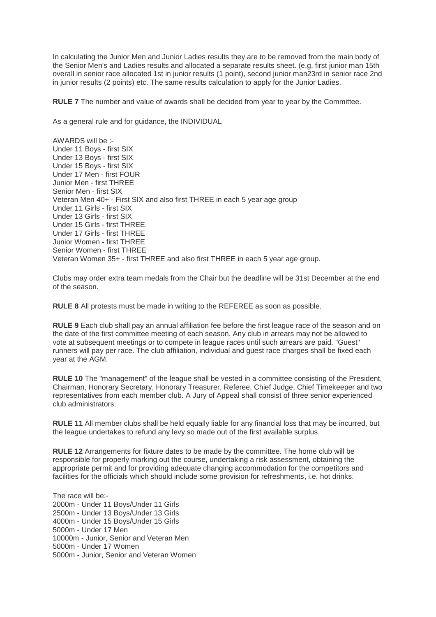In calculating the Junior Men and Junior Ladies results they are to be removed from the main body of the Senior Men's and Ladies results and allocated a separate results sheet. (e.g. first junior man 15th overall in senior race allocated 1st in junior results (1 point), second junior man23rd in senior race 2nd in junior results (2 points) etc. The same results calculation to apply for the Junior Ladies.

**RULE 7** The number and value of awards shall be decided from year to year by the Committee.

As a general rule and for guidance, the INDIVIDUAL

AWARDS will be :- Under 11 Boys - first SIX Under 13 Boys - first SIX Under 15 Boys - first SIX Under 17 Men - first FOUR Junior Men - first THREE Senior Men - first SIX Veteran Men 40+ - First SIX and also first THREE in each 5 year age group Under 11 Girls - first SIX Under 13 Girls - first SIX Under 15 Girls - first THREE Under 17 Girls - first THREE Junior Women - first THREE Senior Women - first THREE Veteran Women 35+ - first THREE and also first THREE in each 5 year age group.

Clubs may order extra team medals from the Chair but the deadline will be 31st December at the end of the season.

**RULE 8** All protests must be made in writing to the REFEREE as soon as possible.

**RULE 9** Each club shall pay an annual affiliation fee before the first league race of the season and on the date of the first committee meeting of each season. Any club in arrears may not be allowed to vote at subsequent meetings or to compete in league races until such arrears are paid. "Guest" runners will pay per race. The club affiliation, individual and guest race charges shall be fixed each year at the AGM.

**RULE 10** The "management" of the league shall be vested in a committee consisting of the President, Chairman, Honorary Secretary, Honorary Treasurer, Referee, Chief Judge, Chief Timekeeper and two representatives from each member club. A Jury of Appeal shall consist of three senior experienced club administrators.

**RULE 11** All member clubs shall be held equally liable for any financial loss that may be incurred, but the league undertakes to refund any levy so made out of the first available surplus.

**RULE 12** Arrangements for fixture dates to be made by the committee. The home club will be responsible for properly marking out the course, undertaking a risk assessment, obtaining the appropriate permit and for providing adequate changing accommodation for the competitors and facilities for the officials which should include some provision for refreshments, i.e. hot drinks.

The race will be:- 2000m - Under 11 Boys/Under 11 Girls 2500m - Under 13 Boys/Under 13 Girls 4000m - Under 15 Boys/Under 15 Girls 5000m - Under 17 Men 10000m - Junior, Senior and Veteran Men 5000m - Under 17 Women 5000m - Junior, Senior and Veteran Women